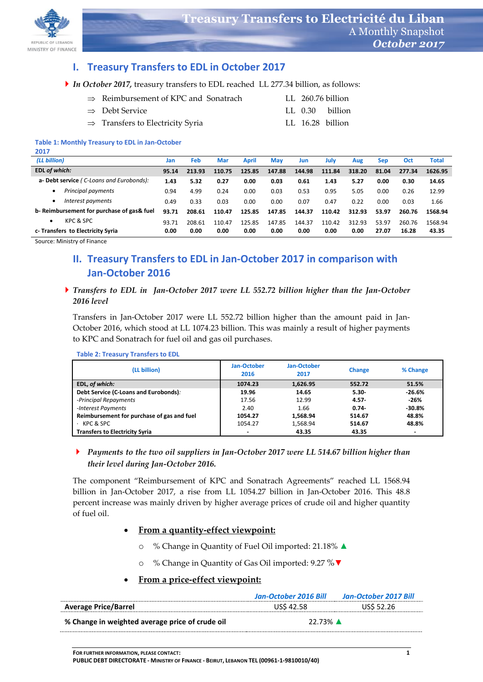

# **I. Treasury Transfers to EDL in October 2017**

*In October 2017,* treasury transfers to EDL reached LL 277.34 billion, as follows:

| $\Rightarrow$ Reimbursement of KPC and Sonatrach |  | LL 260.76 billion |
|--------------------------------------------------|--|-------------------|
| $\Rightarrow$ Debt Service                       |  | LL 0.30 billion   |
| $\Rightarrow$ Transfers to Electricity Syria     |  | LL 16.28 billion  |

#### **Table 1: Monthly Treasury to EDL in Jan-October 2017**

| (LL billion)                              | Jan   | Feb    | Mar    | April  | Mav    | Jun    | July   | Aug    | <b>Sep</b> | Oct    | <b>Total</b> |
|-------------------------------------------|-------|--------|--------|--------|--------|--------|--------|--------|------------|--------|--------------|
| EDL of which:                             | 95.14 | 213.93 | 110.75 | 125.85 | 147.88 | 144.98 | 111.84 | 318.20 | 81.04      | 277.34 | 1626.95      |
| a- Debt service (C-Loans and Eurobonds):  | 1.43  | 5.32   | 0.27   | 0.00   | 0.03   | 0.61   | 1.43   | 5.27   | 0.00       | 0.30   | 14.65        |
| Principal payments                        | 0.94  | 4.99   | 0.24   | 0.00   | 0.03   | 0.53   | 0.95   | 5.05   | 0.00       | 0.26   | 12.99        |
| Interest payments                         | 0.49  | 0.33   | 0.03   | 0.00   | 0.00   | 0.07   | 0.47   | 0.22   | 0.00       | 0.03   | 1.66         |
| b-Reimbursement for purchase of gas& fuel | 93.71 | 208.61 | 110.47 | 125.85 | 147.85 | 144.37 | 110.42 | 312.93 | 53.97      | 260.76 | 1568.94      |
| KPC & SPC<br>٠                            | 93.71 | 208.61 | 110.47 | 125.85 | 147.85 | 144.37 | 110.42 | 312.93 | 53.97      | 260.76 | 1568.94      |
| c-Transfers to Electricity Syria          | 0.00  | 0.00   | 0.00   | 0.00   | 0.00   | 0.00   | 0.00   | 0.00   | 27.07      | 16.28  | 43.35        |

Source: Ministry of Finance

# **II. Treasury Transfers to EDL in Jan-October 2017 in comparison with Jan-October 2016**

### *Transfers to EDL in Jan-October 2017 were LL 552.72 billion higher than the Jan-October 2016 level*

Transfers in Jan-October 2017 were LL 552.72 billion higher than the amount paid in Jan-October 2016, which stood at LL 1074.23 billion. This was mainly a result of higher payments to KPC and Sonatrach for fuel oil and gas oil purchases.

#### **(LL billion) Jan-October 2016 Jan-October <sup>2017</sup> Change % Change EDL,** *of which:* **1074.23 1,626.95 552.72 51.5% Debt Service (C-Loans and Eurobonds)***:* **19.96 14.65 5.30- -26.6%** *-Principal Repayments* 17.56 12.99 **4.57- -26%** -*Interest Payments* 2.40 1.66 **0.74- -30.8% Reimbursement for purchase of gas and fuel 1054.27 1,568.94 514.67 48.8%**<br>Rec & SPC **48.8% 1.568.94 514.67 48.8%** · KPC & SPC 1054.27 1,568.94 **514.67 48.8% Transfers to Electricity Syria - 43.35 43.35 -**

#### **Table 2: Treasury Transfers to EDL**

## *Payments to the two oil suppliers in Jan-October 2017 were LL 514.67 billion higher than their level during Jan-October 2016.*

The component "Reimbursement of KPC and Sonatrach Agreements" reached LL 1568.94 billion in Jan-October 2017, a rise from LL 1054.27 billion in Jan-October 2016. This 48.8 percent increase was mainly driven by higher average prices of crude oil and higher quantity of fuel oil.

### **From a quantity-effect viewpoint:**

- o % Change in Quantity of Fuel Oil imported: 21.18% ▲
- % Change in Quantity of Gas Oil imported: 9.27 % ▼

### **From a price-effect viewpoint:**

|                                                 | Jan-October 2016 Bill | Jan-October 2017 Bill |  |
|-------------------------------------------------|-----------------------|-----------------------|--|
| <b>Average Price/Barrel</b>                     | <b>US\$ 42.58</b>     | <b>USS 52.26</b>      |  |
| % Change in weighted average price of crude oil | 22.73% A              |                       |  |